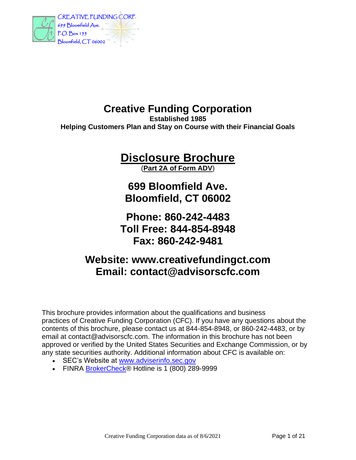

# **Creative Funding Corporation**

**Established 1985 Helping Customers Plan and Stay on Course with their Financial Goals**

# **Disclosure Brochure**

(**Part 2A of Form ADV**)

# **699 Bloomfield Ave. Bloomfield, CT 06002**

## **Phone: 860-242-4483 Toll Free: 844-854-8948 Fax: 860-242-9481**

## **Website: www.creativefundingct.com Email: contact@advisorscfc.com**

This brochure provides information about the qualifications and business practices of Creative Funding Corporation (CFC). If you have any questions about the contents of this brochure, please contact us at 844-854-8948, or 860-242-4483, or by email at contact@advisorscfc.com. The information in this brochure has not been approved or verified by the United States Securities and Exchange Commission, or by any state securities authority. Additional information about CFC is available on:

- SEC's Website at [www.adviserinfo.sec.gov](http://www.adviserinfo.sec.gov/)
- FINRA [BrokerCheck®](https://brokercheck.finra.org/) Hotline is 1 (800) 289-9999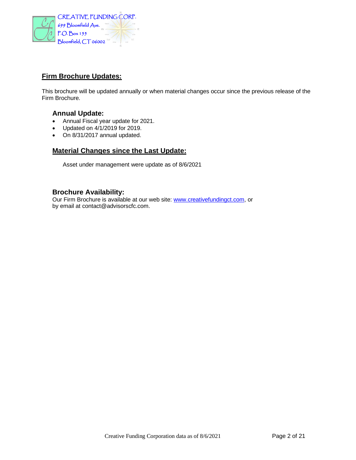

#### **Firm Brochure Updates:**

This brochure will be updated annually or when material changes occur since the previous release of the Firm Brochure.

#### **Annual Update:**

- Annual Fiscal year update for 2021.
- Updated on 4/1/2019 for 2019.
- On 8/31/2017 annual updated.

#### **Material Changes since the Last Update:**

Asset under management were update as of 8/6/2021

#### **Brochure Availability:**

Our Firm Brochure is available at our web site: [www.creativefundingct.com,](http://www.creativefundingct.com/) or by email at contact@advisorscfc.com.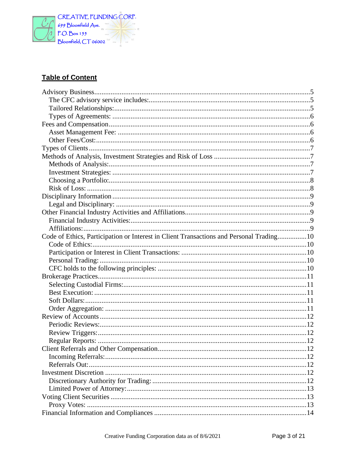

### **Table of Content**

| Code of Ethics, Participation or Interest in Client Transactions and Personal Trading10 |  |
|-----------------------------------------------------------------------------------------|--|
|                                                                                         |  |
|                                                                                         |  |
|                                                                                         |  |
|                                                                                         |  |
|                                                                                         |  |
|                                                                                         |  |
|                                                                                         |  |
|                                                                                         |  |
|                                                                                         |  |
|                                                                                         |  |
|                                                                                         |  |
|                                                                                         |  |
|                                                                                         |  |
|                                                                                         |  |
|                                                                                         |  |
|                                                                                         |  |
|                                                                                         |  |
|                                                                                         |  |
|                                                                                         |  |
|                                                                                         |  |
|                                                                                         |  |
|                                                                                         |  |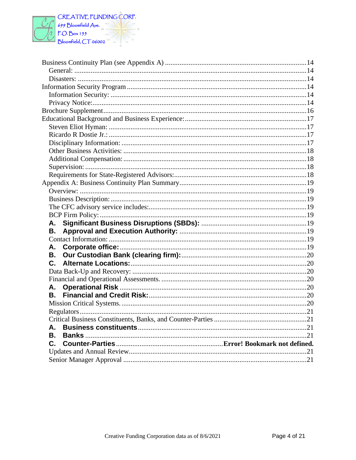

| А.             |  |
|----------------|--|
| В.             |  |
|                |  |
| А.             |  |
| В.             |  |
| $\mathbf{C}$ . |  |
|                |  |
|                |  |
| A.             |  |
| В.             |  |
|                |  |
|                |  |
|                |  |
| А.             |  |
| В.             |  |
| C.             |  |
|                |  |
|                |  |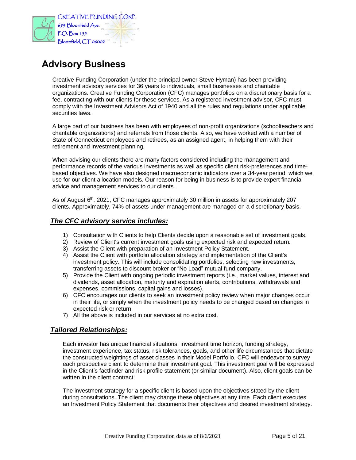

## <span id="page-4-0"></span>**Advisory Business**

Creative Funding Corporation (under the principal owner Steve Hyman) has been providing investment advisory services for 36 years to individuals, small businesses and charitable organizations. Creative Funding Corporation (CFC) manages portfolios on a discretionary basis for a fee, contracting with our clients for these services. As a registered investment advisor, CFC must comply with the Investment Advisors Act of 1940 and all the rules and regulations under applicable securities laws.

A large part of our business has been with employees of non-profit organizations (schoolteachers and charitable organizations) and referrals from those clients. Also, we have worked with a number of State of Connecticut employees and retirees, as an assigned agent, in helping them with their retirement and investment planning.

When advising our clients there are many factors considered including the management and performance records of the various investments as well as specific client risk-preferences and timebased objectives. We have also designed macroeconomic indicators over a 34-year period, which we use for our client allocation models. Our reason for being in business is to provide expert financial advice and management services to our clients.

As of August 6<sup>th</sup>, 2021, CFC manages approximately 30 million in assets for approximately 207 clients. Approximately, 74% of assets under management are managed on a discretionary basis.

#### <span id="page-4-1"></span>*The CFC advisory service includes:*

- 1) Consultation with Clients to help Clients decide upon a reasonable set of investment goals.
- 2) Review of Client's current investment goals using expected risk and expected return.
- 3) Assist the Client with preparation of an Investment Policy Statement.
- 4) Assist the Client with portfolio allocation strategy and implementation of the Client's investment policy. This will include consolidating portfolios, selecting new investments, transferring assets to discount broker or "No Load" mutual fund company.
- 5) Provide the Client with ongoing periodic investment reports (i.e., market values, interest and dividends, asset allocation, maturity and expiration alerts, contributions, withdrawals and expenses, commissions, capital gains and losses).
- 6) CFC encourages our clients to seek an investment policy review when major changes occur in their life, or simply when the investment policy needs to be changed based on changes in expected risk or return.
- 7) All the above is included in our services at no extra cost.

#### <span id="page-4-2"></span>*Tailored Relationships:*

Each investor has unique financial situations, investment time horizon, funding strategy, investment experience, tax status, risk tolerances, goals, and other life circumstances that dictate the constructed weightings of asset classes in their Model Portfolio. CFC will endeavor to survey each prospective client to determine their investment goal. This investment goal will be expressed in the Client's factfinder and risk profile statement (or similar document). Also, client goals can be written in the client contract.

The investment strategy for a specific client is based upon the objectives stated by the client during consultations. The client may change these objectives at any time. Each client executes an Investment Policy Statement that documents their objectives and desired investment strategy.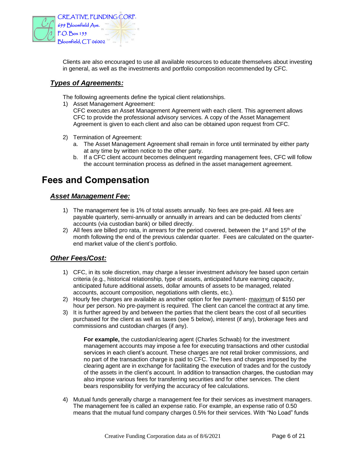

Clients are also encouraged to use all available resources to educate themselves about investing in general, as well as the investments and portfolio composition recommended by CFC.

#### <span id="page-5-0"></span>*Types of Agreements:*

The following agreements define the typical client relationships.

1) Asset Management Agreement:

CFC executes an Asset Management Agreement with each client. This agreement allows CFC to provide the professional advisory services. A copy of the Asset Management Agreement is given to each client and also can be obtained upon request from CFC.

- 2) Termination of Agreement:
	- a. The Asset Management Agreement shall remain in force until terminated by either party at any time by written notice to the other party.
	- b. If a CFC client account becomes delinquent regarding management fees, CFC will follow the account termination process as defined in the asset management agreement.

### <span id="page-5-1"></span>**Fees and Compensation**

#### <span id="page-5-2"></span>*Asset Management Fee:*

- 1) The management fee is 1% of total assets annually. No fees are pre-paid. All fees are payable quarterly, semi-annually or annually in arrears and can be deducted from clients' accounts (via custodian bank) or billed directly.
- 2) All fees are billed pro rata, in arrears for the period covered, between the 1<sup>st</sup> and 15<sup>th</sup> of the month following the end of the previous calendar quarter. Fees are calculated on the quarterend market value of the client's portfolio.

#### <span id="page-5-3"></span>*Other Fees/Cost:*

- 1) CFC, in its sole discretion, may charge a lesser investment advisory fee based upon certain criteria (e.g., historical relationship, type of assets, anticipated future earning capacity, anticipated future additional assets, dollar amounts of assets to be managed, related accounts, account composition, negotiations with clients, etc.).
- 2) Hourly fee charges are available as another option for fee payment- maximum of \$150 per hour per person. No pre-payment is required. The client can cancel the contract at any time.
- 3) It is further agreed by and between the parties that the client bears the cost of all securities purchased for the client as well as taxes (see 5 below), interest (if any), brokerage fees and commissions and custodian charges (if any).

**For example,** the custodian/clearing agent (Charles Schwab) for the investment management accounts may impose a fee for executing transactions and other custodial services in each client's account. These charges are not retail broker commissions, and no part of the transaction charge is paid to CFC. The fees and charges imposed by the clearing agent are in exchange for facilitating the execution of trades and for the custody of the assets in the client's account. In addition to transaction charges, the custodian may also impose various fees for transferring securities and for other services. The client bears responsibility for verifying the accuracy of fee calculations.

4) Mutual funds generally charge a management fee for their services as investment managers. The management fee is called an expense ratio. For example, an expense ratio of 0.50 means that the mutual fund company charges 0.5% for their services. With "No Load" funds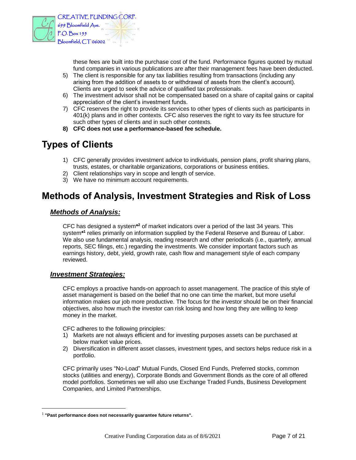

these fees are built into the purchase cost of the fund. Performance figures quoted by mutual fund companies in various publications are after their management fees have been deducted.

- 5) The client is responsible for any tax liabilities resulting from transactions (including any arising from the addition of assets to or withdrawal of assets from the client's account). Clients are urged to seek the advice of qualified tax professionals.
- 6) The investment advisor shall not be compensated based on a share of capital gains or capital appreciation of the client's investment funds.
- 7) CFC reserves the right to provide its services to other types of clients such as participants in 401(k) plans and in other contexts. CFC also reserves the right to vary its fee structure for such other types of clients and in such other contexts.
- **8) CFC does not use a performance-based fee schedule.**

## <span id="page-6-0"></span>**Types of Clients**

- 1) CFC generally provides investment advice to individuals, pension plans, profit sharing plans, trusts, estates, or charitable organizations, corporations or business entities.
- 2) Client relationships vary in scope and length of service.
- 3) We have no minimum account requirements.

### <span id="page-6-1"></span>**Methods of Analysis, Investment Strategies and Risk of Loss**

#### <span id="page-6-2"></span>*Methods of Analysis:*

CFC has designed a system**\* <sup>2</sup>** of market indicators over a period of the last 34 years. This system<sup>\*1</sup> relies primarily on information supplied by the Federal Reserve and Bureau of Labor. We also use fundamental analysis, reading research and other periodicals (i.e., quarterly, annual reports, SEC filings, etc.) regarding the investments. We consider important factors such as earnings history, debt, yield, growth rate, cash flow and management style of each company reviewed.

#### <span id="page-6-3"></span>*Investment Strategies:*

CFC employs a proactive hands-on approach to asset management. The practice of this style of asset management is based on the belief that no one can time the market, but more useful information makes our job more productive. The focus for the investor should be on their financial objectives, also how much the investor can risk losing and how long they are willing to keep money in the market.

CFC adheres to the following principles:

- 1) Markets are not always efficient and for investing purposes assets can be purchased at below market value prices.
- 2) Diversification in different asset classes, investment types, and sectors helps reduce risk in a portfolio.

CFC primarily uses "No-Load" Mutual Funds, Closed End Funds, Preferred stocks, common stocks (utilities and energy), Corporate Bonds and Government Bonds as the core of all offered model portfolios. Sometimes we will also use Exchange Traded Funds, Business Development Companies, and Limited Partnerships.

<sup>1</sup> **"Past performance does not necessarily guarantee future returns".**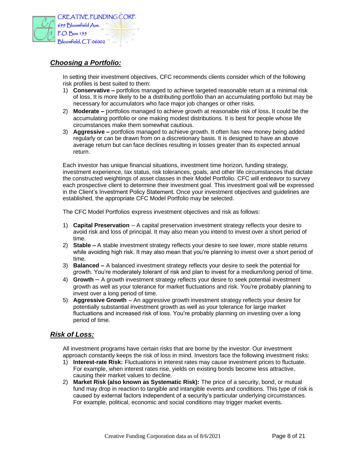

#### <span id="page-7-0"></span>*Choosing a Portfolio:*

In setting their investment objectives, CFC recommends clients consider which of the following risk profiles is best suited to them:

- 1) **Conservative –** portfolios managed to achieve targeted reasonable return at a minimal risk of loss. It is more likely to be a distributing portfolio than an accumulating portfolio but may be necessary for accumulators who face major job changes or other risks.
- 2) **Moderate –** portfolios managed to achieve growth at reasonable risk of loss. It could be the accumulating portfolio or one making modest distributions. It is best for people whose life circumstances make them somewhat cautious.
- 3) **Aggressive –** portfolios managed to achieve growth. It often has new money being added regularly or can be drawn from on a discretionary basis. It is designed to have an above average return but can face declines resulting in losses greater than its expected annual return.

Each investor has unique financial situations, investment time horizon, funding strategy, investment experience, tax status, risk tolerances, goals, and other life circumstances that dictate the constructed weightings of asset classes in their Model Portfolio. CFC will endeavor to survey each prospective client to determine their investment goal. This investment goal will be expressed in the Client's Investment Policy Statement. Once your investment objectives and guidelines are established, the appropriate CFC Model Portfolio may be selected.

The CFC Model Portfolios express investment objectives and risk as follows:

- 1) **Capital Preservation** A capital preservation investment strategy reflects your desire to avoid risk and loss of principal. It may also mean you intend to invest over a short period of time.
- 2) **Stable –** A stable investment strategy reflects your desire to see lower, more stable returns while avoiding high risk. It may also mean that you're planning to invest over a short period of time.
- 3) **Balanced –** A balanced investment strategy reflects your desire to seek the potential for growth. You're moderately tolerant of risk and plan to invest for a medium/long period of time.
- 4) **Growth**  A growth investment strategy reflects your desire to seek potential investment growth as well as your tolerance for market fluctuations and risk. You're probably planning to invest over a long period of time.
- 5) **Aggressive Growth** An aggressive growth investment strategy reflects your desire for potentially substantial investment growth as well as your tolerance for large market fluctuations and increased risk of loss. You're probably planning on investing over a long period of time.

#### <span id="page-7-1"></span>*Risk of Loss:*

All investment programs have certain risks that are borne by the investor. Our investment approach constantly keeps the risk of loss in mind. Investors face the following investment risks:

- 1) **Interest-rate Risk:** Fluctuations in interest rates may cause investment prices to fluctuate. For example, when interest rates rise, yields on existing bonds become less attractive, causing their market values to decline.
- 2) **Market Risk (also known as Systematic Risk):** The price of a security, bond, or mutual fund may drop in reaction to tangible and intangible events and conditions. This type of risk is caused by external factors independent of a security's particular underlying circumstances. For example, political, economic and social conditions may trigger market events.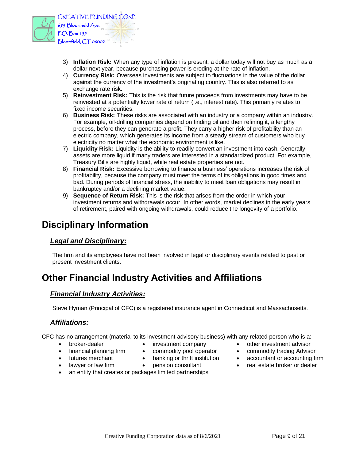

- 3) **Inflation Risk:** When any type of inflation is present, a dollar today will not buy as much as a dollar next year, because purchasing power is eroding at the rate of inflation.
- 4) **Currency Risk:** Overseas investments are subject to fluctuations in the value of the dollar against the currency of the investment's originating country. This is also referred to as exchange rate risk.
- 5) **Reinvestment Risk:** This is the risk that future proceeds from investments may have to be reinvested at a potentially lower rate of return (i.e., interest rate). This primarily relates to fixed income securities.
- 6) **Business Risk:** These risks are associated with an industry or a company within an industry. For example, oil-drilling companies depend on finding oil and then refining it, a lengthy process, before they can generate a profit. They carry a higher risk of profitability than an electric company, which generates its income from a steady stream of customers who buy electricity no matter what the economic environment is like.
- 7) **Liquidity Risk:** Liquidity is the ability to readily convert an investment into cash. Generally, assets are more liquid if many traders are interested in a standardized product. For example, Treasury Bills are highly liquid, while real estate properties are not.
- 8) **Financial Risk:** Excessive borrowing to finance a business' operations increases the risk of profitability, because the company must meet the terms of its obligations in good times and bad. During periods of financial stress, the inability to meet loan obligations may result in bankruptcy and/or a declining market value.
- 9) **Sequence of Return Risk:** This is the risk that arises from the order in which your investment returns and withdrawals occur. In other words, market declines in the early years of retirement, paired with ongoing withdrawals, could reduce the longevity of a portfolio.

### <span id="page-8-0"></span>**Disciplinary Information**

#### <span id="page-8-1"></span>*Legal and Disciplinary:*

The firm and its employees have not been involved in legal or disciplinary events related to past or present investment clients.

## <span id="page-8-2"></span>**Other Financial Industry Activities and Affiliations**

#### <span id="page-8-3"></span>*Financial Industry Activities:*

Steve Hyman (Principal of CFC) is a registered insurance agent in Connecticut and Massachusetts.

#### <span id="page-8-4"></span>*Affiliations:*

CFC has no arrangement (material to its investment advisory business) with any related person who is a:

- 
- 
- 
- 
- 
- 
- 
- 
- 
- broker-dealer investment company other investment advisor
- financial planning firm commodity pool operator commodity trading Advisor
- futures merchant banking or thrift institution accountant or accounting firm
- lawyer or law firm pension consultant real estate broker or dealer
- an entity that creates or packages limited partnerships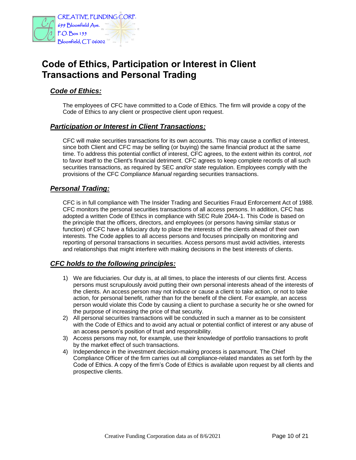

### <span id="page-9-0"></span>**Code of Ethics, Participation or Interest in Client Transactions and Personal Trading**

#### <span id="page-9-1"></span>*Code of Ethics:*

The employees of CFC have committed to a Code of Ethics. The firm will provide a copy of the Code of Ethics to any client or prospective client upon request.

#### <span id="page-9-2"></span>*Participation or Interest in Client Transactions:*

CFC will make securities transactions for its own accounts. This may cause a conflict of interest, since both Client and CFC may be selling (or buying) the same financial product at the same time. To address this potential conflict of interest, CFC agrees, to the extent within its control, *not*  to favor itself to the Client's financial detriment. CFC agrees to keep complete records of all such securities transactions, as required by SEC *and/or state* regulation. Employees comply with the provisions of the CFC *Compliance Manual* regarding securities transactions.

#### <span id="page-9-3"></span>*Personal Trading:*

CFC is in full compliance with The Insider Trading and Securities Fraud Enforcement Act of 1988. CFC monitors the personal securities transactions of all access persons. In addition, CFC has adopted a written Code of Ethics in compliance with SEC Rule 204A-1. This Code is based on the principle that the officers, directors, and employees (or persons having similar status or function) of CFC have a fiduciary duty to place the interests of the clients ahead of their own interests. The Code applies to all access persons and focuses principally on monitoring and reporting of personal transactions in securities. Access persons must avoid activities, interests and relationships that might interfere with making decisions in the best interests of clients.

#### <span id="page-9-4"></span>*CFC holds to the following principles:*

- 1) We are fiduciaries. Our duty is, at all times, to place the interests of our clients first. Access persons must scrupulously avoid putting their own personal interests ahead of the interests of the clients. An access person may not induce or cause a client to take action, or not to take action, for personal benefit, rather than for the benefit of the client. For example, an access person would violate this Code by causing a client to purchase a security he or she owned for the purpose of increasing the price of that security.
- 2) All personal securities transactions will be conducted in such a manner as to be consistent with the Code of Ethics and to avoid any actual or potential conflict of interest or any abuse of an access person's position of trust and responsibility.
- 3) Access persons may not, for example, use their knowledge of portfolio transactions to profit by the market effect of such transactions.
- 4) Independence in the investment decision-making process is paramount. The Chief Compliance Officer of the firm carries out all compliance-related mandates as set forth by the Code of Ethics. A copy of the firm's Code of Ethics is available upon request by all clients and prospective clients.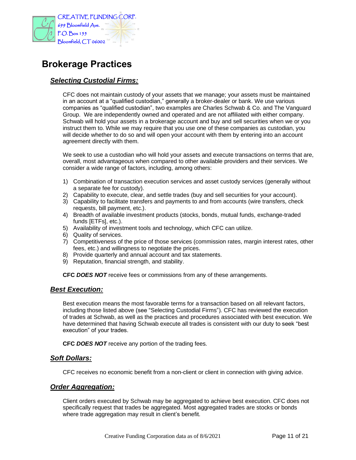

## <span id="page-10-0"></span>**Brokerage Practices**

#### <span id="page-10-1"></span>*Selecting Custodial Firms:*

CFC does not maintain custody of your assets that we manage; your assets must be maintained in an account at a "qualified custodian," generally a broker-dealer or bank. We use various companies as "qualified custodian", two examples are Charles Schwab & Co. and The Vanguard Group. We are independently owned and operated and are not affiliated with either company. Schwab will hold your assets in a brokerage account and buy and sell securities when we or you instruct them to. While we may require that you use one of these companies as custodian, you will decide whether to do so and will open your account with them by entering into an account agreement directly with them.

We seek to use a custodian who will hold your assets and execute transactions on terms that are, overall, most advantageous when compared to other available providers and their services. We consider a wide range of factors, including, among others:

- 1) Combination of transaction execution services and asset custody services (generally without a separate fee for custody).
- 2) Capability to execute, clear, and settle trades (buy and sell securities for your account).
- 3) Capability to facilitate transfers and payments to and from accounts (wire transfers, check requests, bill payment, etc.).
- 4) Breadth of available investment products (stocks, bonds, mutual funds, exchange-traded funds [ETFs], etc.).
- 5) Availability of investment tools and technology, which CFC can utilize.
- 6) Quality of services.
- 7) Competitiveness of the price of those services (commission rates, margin interest rates, other fees, etc.) and willingness to negotiate the prices.
- 8) Provide quarterly and annual account and tax statements.
- 9) Reputation, financial strength, and stability.

**CFC** *DOES NOT* receive fees or commissions from any of these arrangements.

#### <span id="page-10-2"></span>*Best Execution:*

Best execution means the most favorable terms for a transaction based on all relevant factors, including those listed above (see "Selecting Custodial Firms"). CFC has reviewed the execution of trades at Schwab, as well as the practices and procedures associated with best execution. We have determined that having Schwab execute all trades is consistent with our duty to seek "best execution" of your trades.

**CFC** *DOES NOT* receive any portion of the trading fees.

#### <span id="page-10-3"></span>*Soft Dollars:*

CFC receives no economic benefit from a non-client or client in connection with giving advice.

#### <span id="page-10-4"></span>*Order Aggregation:*

Client orders executed by Schwab may be aggregated to achieve best execution. CFC does not specifically request that trades be aggregated. Most aggregated trades are stocks or bonds where trade aggregation may result in client's benefit.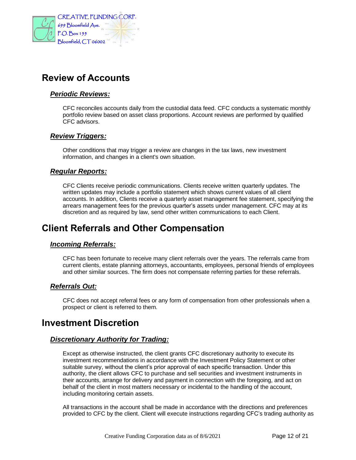

### <span id="page-11-0"></span>**Review of Accounts**

#### <span id="page-11-1"></span>*Periodic Reviews:*

CFC reconciles accounts daily from the custodial data feed. CFC conducts a systematic monthly portfolio review based on asset class proportions. Account reviews are performed by qualified CFC advisors.

#### <span id="page-11-2"></span>*Review Triggers:*

Other conditions that may trigger a review are changes in the tax laws, new investment information, and changes in a client's own situation.

#### <span id="page-11-3"></span>*Regular Reports:*

CFC Clients receive periodic communications. Clients receive written quarterly updates. The written updates may include a portfolio statement which shows current values of all client accounts. In addition, Clients receive a quarterly asset management fee statement, specifying the arrears management fees for the previous quarter's assets under management. CFC may at its discretion and as required by law, send other written communications to each Client.

### <span id="page-11-4"></span>**Client Referrals and Other Compensation**

#### <span id="page-11-5"></span>*Incoming Referrals:*

CFC has been fortunate to receive many client referrals over the years. The referrals came from current clients, estate planning attorneys, accountants, employees, personal friends of employees and other similar sources. The firm does not compensate referring parties for these referrals.

#### <span id="page-11-6"></span>*Referrals Out:*

CFC does not accept referral fees or any form of compensation from other professionals when a prospect or client is referred to them.

### <span id="page-11-7"></span>**Investment Discretion**

#### <span id="page-11-8"></span>*Discretionary Authority for Trading:*

Except as otherwise instructed, the client grants CFC discretionary authority to execute its investment recommendations in accordance with the Investment Policy Statement or other suitable survey, without the client's prior approval of each specific transaction. Under this authority, the client allows CFC to purchase and sell securities and investment instruments in their accounts, arrange for delivery and payment in connection with the foregoing, and act on behalf of the client in most matters necessary or incidental to the handling of the account, including monitoring certain assets.

All transactions in the account shall be made in accordance with the directions and preferences provided to CFC by the client. Client will execute instructions regarding CFC's trading authority as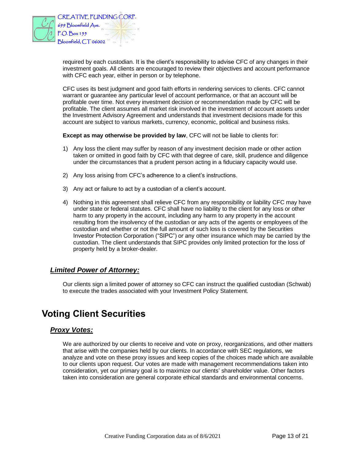

required by each custodian. It is the client's responsibility to advise CFC of any changes in their investment goals. All clients are encouraged to review their objectives and account performance with CFC each year, either in person or by telephone.

CFC uses its best judgment and good faith efforts in rendering services to clients. CFC cannot warrant or guarantee any particular level of account performance, or that an account will be profitable over time. Not every investment decision or recommendation made by CFC will be profitable. The client assumes all market risk involved in the investment of account assets under the Investment Advisory Agreement and understands that investment decisions made for this account are subject to various markets, currency, economic, political and business risks.

**Except as may otherwise be provided by law**, CFC will not be liable to clients for:

- 1) Any loss the client may suffer by reason of any investment decision made or other action taken or omitted in good faith by CFC with that degree of care, skill, prudence and diligence under the circumstances that a prudent person acting in a fiduciary capacity would use.
- 2) Any loss arising from CFC's adherence to a client's instructions.
- 3) Any act or failure to act by a custodian of a client's account.
- 4) Nothing in this agreement shall relieve CFC from any responsibility or liability CFC may have under state or federal statutes. CFC shall have no liability to the client for any loss or other harm to any property in the account, including any harm to any property in the account resulting from the insolvency of the custodian or any acts of the agents or employees of the custodian and whether or not the full amount of such loss is covered by the Securities Investor Protection Corporation ("SIPC") or any other insurance which may be carried by the custodian. The client understands that SIPC provides only limited protection for the loss of property held by a broker-dealer.

#### <span id="page-12-0"></span>*Limited Power of Attorney:*

Our clients sign a limited power of attorney so CFC can instruct the qualified custodian (Schwab) to execute the trades associated with your Investment Policy Statement.

### <span id="page-12-1"></span>**Voting Client Securities**

#### <span id="page-12-2"></span>*Proxy Votes:*

We are authorized by our clients to receive and vote on proxy, reorganizations, and other matters that arise with the companies held by our clients. In accordance with SEC regulations, we analyze and vote on these proxy issues and keep copies of the choices made which are available to our clients upon request. Our votes are made with management recommendations taken into consideration, yet our primary goal is to maximize our clients' shareholder value. Other factors taken into consideration are general corporate ethical standards and environmental concerns.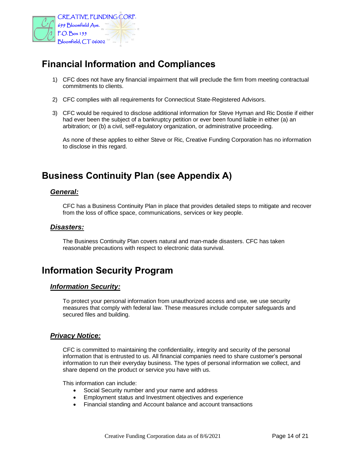

## <span id="page-13-0"></span>**Financial Information and Compliances**

- 1) CFC does not have any financial impairment that will preclude the firm from meeting contractual commitments to clients.
- 2) CFC complies with all requirements for Connecticut State-Registered Advisors.
- 3) CFC would be required to disclose additional information for Steve Hyman and Ric Dostie if either had ever been the subject of a bankruptcy petition or ever been found liable in either (a) an arbitration; or (b) a civil, self-regulatory organization, or administrative proceeding.

As none of these applies to either Steve or Ric, Creative Funding Corporation has no information to disclose in this regard.

## <span id="page-13-1"></span>**Business Continuity Plan (see Appendix A)**

#### <span id="page-13-2"></span>*General:*

CFC has a Business Continuity Plan in place that provides detailed steps to mitigate and recover from the loss of office space, communications, services or key people.

#### <span id="page-13-3"></span>*Disasters:*

The Business Continuity Plan covers natural and man-made disasters. CFC has taken reasonable precautions with respect to electronic data survival.

### <span id="page-13-4"></span>**Information Security Program**

#### <span id="page-13-5"></span>*Information Security:*

To protect your personal information from unauthorized access and use, we use security measures that comply with federal law. These measures include computer safeguards and secured files and building.

#### <span id="page-13-6"></span>*Privacy Notice:*

CFC is committed to maintaining the confidentiality, integrity and security of the personal information that is entrusted to us. All financial companies need to share customer's personal information to run their everyday business. The types of personal information we collect, and share depend on the product or service you have with us.

This information can include:

- Social Security number and your name and address
- Employment status and Investment objectives and experience
- Financial standing and Account balance and account transactions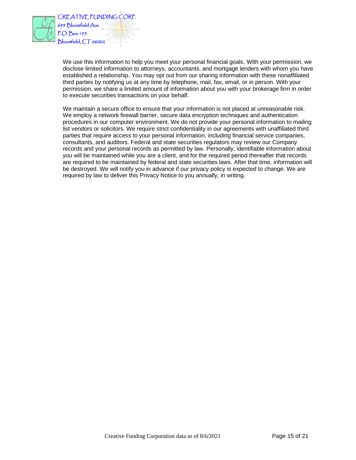

We use this information to help you meet your personal financial goals. With your permission, we disclose limited information to attorneys, accountants, and mortgage lenders with whom you have established a relationship. You may opt out from our sharing information with these nonaffiliated third parties by notifying us at any time by telephone, mail, fax, email, or in person. With your permission, we share a limited amount of information about you with your brokerage firm in order to execute securities transactions on your behalf.

We maintain a secure office to ensure that your information is not placed at unreasonable risk. We employ a network firewall barrier, secure data encryption techniques and authentication procedures in our computer environment. We do not provide your personal information to mailing list vendors or solicitors. We require strict confidentiality in our agreements with unaffiliated third parties that require access to your personal information, including financial service companies, consultants, and auditors. Federal and state securities regulators may review our Company records and your personal records as permitted by law. Personally, identifiable information about you will be maintained while you are a client, and for the required period thereafter that records are required to be maintained by federal and state securities laws. After that time, information will be destroyed. We will notify you in advance if our privacy policy is expected to change. We are required by law to deliver this Privacy Notice to you annually, in writing.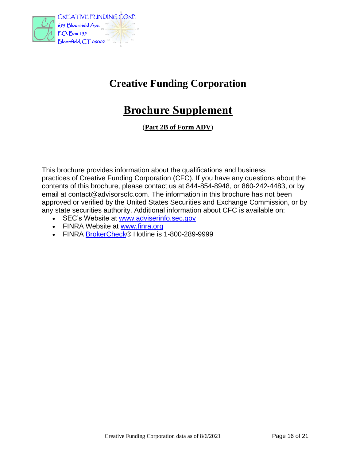

# **Creative Funding Corporation**

# **Brochure Supplement**

(**Part 2B of Form ADV**)

<span id="page-15-0"></span>This brochure provides information about the qualifications and business practices of Creative Funding Corporation (CFC). If you have any questions about the contents of this brochure, please contact us at 844-854-8948, or 860-242-4483, or by email at contact@advisorscfc.com. The information in this brochure has not been approved or verified by the United States Securities and Exchange Commission, or by any state securities authority. Additional information about CFC is available on:

- SEC's Website at [www.adviserinfo.sec.gov](http://www.adviserinfo.sec.gov/)
- FINRA Website at [www.finra.org](http://www.finra.org/)
- FINRA [BrokerCheck®](https://brokercheck.finra.org/) Hotline is 1-800-289-9999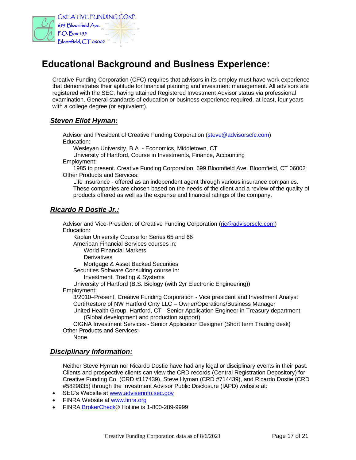

## <span id="page-16-0"></span>**Educational Background and Business Experience:**

Creative Funding Corporation (CFC) requires that advisors in its employ must have work experience that demonstrates their aptitude for financial planning and investment management. All advisors are registered with the SEC, having attained Registered Investment Advisor status via professional examination. General standards of education or business experience required, at least, four years with a college degree (or equivalent).

#### <span id="page-16-1"></span>*Steven Eliot Hyman:*

Advisor and President of Creative Funding Corporation [\(steve@advisorscfc.com\)](mailto:steve@advisorscfc.com) Education:

Wesleyan University, B.A. - Economics, Middletown, CT

University of Hartford, Course in Investments, Finance, Accounting Employment:

1985 to present. Creative Funding Corporation, 699 Bloomfield Ave. Bloomfield, CT 06002 Other Products and Services:

Life Insurance - offered as an independent agent through various insurance companies. These companies are chosen based on the needs of the client and a review of the quality of products offered as well as the expense and financial ratings of the company.

#### <span id="page-16-2"></span>*Ricardo R Dostie Jr.:*

Advisor and Vice-President of Creative Funding Corporation [\(ric@advisorscfc.com\)](mailto:ric@advisorscfc.com) Education:

Kaplan University Course for Series 65 and 66

American Financial Services courses in:

World Financial Markets

**Derivatives** 

Mortgage & Asset Backed Securities

Securities Software Consulting course in:

Investment, Trading & Systems

University of Hartford (B.S. Biology (with 2yr Electronic Engineering))

#### Employment:

3/2010–Present, Creative Funding Corporation - Vice president and Investment Analyst CertiRestore of NW Hartford Cnty LLC – Owner/Operations/Business Manager United Health Group, Hartford, CT - Senior Application Engineer in Treasury department

(Global development and production support)

CIGNA Investment Services - Senior Application Designer (Short term Trading desk) Other Products and Services:

None.

#### <span id="page-16-3"></span>*Disciplinary Information:*

Neither Steve Hyman nor Ricardo Dostie have had any legal or disciplinary events in their past. Clients and prospective clients can view the CRD records (Central Registration Depository) for Creative Funding Co. (CRD #117439), Steve Hyman (CRD #714439), and Ricardo Dostie (CRD #5829835) through the Investment Advisor Public Disclosure (IAPD) website at:

- SEC's Website at [www.adviserinfo.sec.gov](http://www.adviserinfo.sec.gov/)
- FINRA Website at [www.finra.org](http://www.finra.org/)
- FINRA [BrokerCheck®](https://brokercheck.finra.org/) Hotline is 1-800-289-9999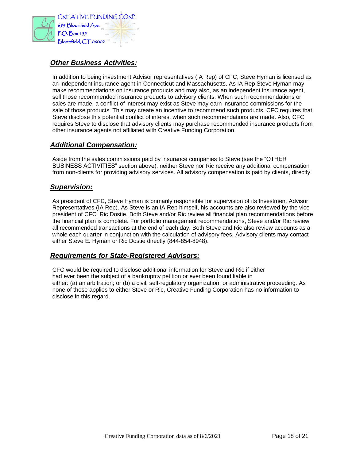

#### <span id="page-17-0"></span>*Other Business Activities:*

In addition to being investment Advisor representatives (IA Rep) of CFC, Steve Hyman is licensed as an independent insurance agent in Connecticut and Massachusetts. As IA Rep Steve Hyman may make recommendations on insurance products and may also, as an independent insurance agent, sell those recommended insurance products to advisory clients. When such recommendations or sales are made, a conflict of interest may exist as Steve may earn insurance commissions for the sale of those products. This may create an incentive to recommend such products. CFC requires that Steve disclose this potential conflict of interest when such recommendations are made. Also, CFC requires Steve to disclose that advisory clients may purchase recommended insurance products from other insurance agents not affiliated with Creative Funding Corporation.

#### <span id="page-17-1"></span>*Additional Compensation:*

Aside from the sales commissions paid by insurance companies to Steve (see the "OTHER BUSINESS ACTIVITIES" section above), neither Steve nor Ric receive any additional compensation from non-clients for providing advisory services. All advisory compensation is paid by clients, directly.

#### <span id="page-17-2"></span>*Supervision:*

As president of CFC, Steve Hyman is primarily responsible for supervision of its Investment Advisor Representatives (IA Rep). As Steve is an IA Rep himself, his accounts are also reviewed by the vice president of CFC, Ric Dostie. Both Steve and/or Ric review all financial plan recommendations before the financial plan is complete. For portfolio management recommendations, Steve and/or Ric review all recommended transactions at the end of each day. Both Steve and Ric also review accounts as a whole each quarter in conjunction with the calculation of advisory fees. Advisory clients may contact either Steve E. Hyman or Ric Dostie directly (844-854-8948).

#### <span id="page-17-3"></span>*Requirements for State-Registered Advisors:*

CFC would be required to disclose additional information for Steve and Ric if either had ever been the subject of a bankruptcy petition or ever been found liable in either: (a) an arbitration; or (b) a civil, self-regulatory organization, or administrative proceeding. As none of these applies to either Steve or Ric, Creative Funding Corporation has no information to disclose in this regard.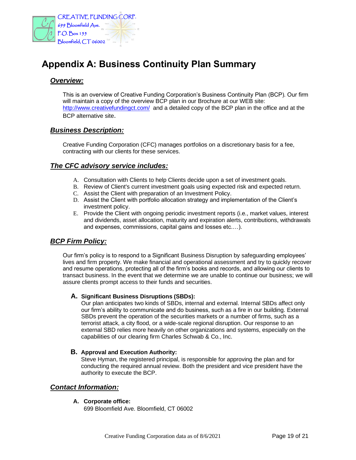

## <span id="page-18-0"></span>**Appendix A: Business Continuity Plan Summary**

#### <span id="page-18-1"></span>*Overview:*

This is an overview of Creative Funding Corporation's Business Continuity Plan (BCP). Our firm will maintain a copy of the overview BCP plan in our Brochure at our WEB site: <http://www.creativefundingct.com/>and a detailed copy of the BCP plan in the office and at the BCP alternative site.

#### <span id="page-18-2"></span>*Business Description:*

Creative Funding Corporation (CFC) manages portfolios on a discretionary basis for a fee, contracting with our clients for these services.

#### <span id="page-18-3"></span>*The CFC advisory service includes:*

- A. Consultation with Clients to help Clients decide upon a set of investment goals.
- B. Review of Client's current investment goals using expected risk and expected return.
- C. Assist the Client with preparation of an Investment Policy.
- D. Assist the Client with portfolio allocation strategy and implementation of the Client's investment policy.
- E. Provide the Client with ongoing periodic investment reports (i.e., market values, interest and dividends, asset allocation, maturity and expiration alerts, contributions, withdrawals and expenses, commissions, capital gains and losses etc.…).

#### <span id="page-18-4"></span>*BCP Firm Policy:*

Our firm's policy is to respond to a Significant Business Disruption by safeguarding employees' lives and firm property. We make financial and operational assessment and try to quickly recover and resume operations, protecting all of the firm's books and records, and allowing our clients to transact business. In the event that we determine we are unable to continue our business; we will assure clients prompt access to their funds and securities.

#### <span id="page-18-5"></span>**A. Significant Business Disruptions (SBDs):**

Our plan anticipates two kinds of SBDs, internal and external. Internal SBDs affect only our firm's ability to communicate and do business, such as a fire in our building. External SBDs prevent the operation of the securities markets or a number of firms, such as a terrorist attack, a city flood, or a wide-scale regional disruption. Our response to an external SBD relies more heavily on other organizations and systems, especially on the capabilities of our clearing firm Charles Schwab & Co., Inc.

#### <span id="page-18-6"></span>**B. Approval and Execution Authority:**

Steve Hyman, the registered principal, is responsible for approving the plan and for conducting the required annual review. Both the president and vice president have the authority to execute the BCP.

#### <span id="page-18-8"></span><span id="page-18-7"></span>*Contact Information:*

#### **A. Corporate office:**

699 Bloomfield Ave. Bloomfield, CT 06002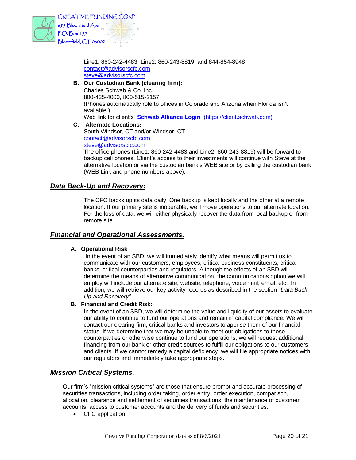

Line1: 860-242-4483, Line2: 860-243-8819, and 844-854-8948 [contact@advisorscfc.com](mailto:contact@advisorscfc.com) [steve@advisorscfc.com](mailto:steve@advisorscfc.com)

<span id="page-19-0"></span>**B. Our Custodian Bank (clearing firm):** Charles Schwab & Co. Inc. 800-435-4000, 800-515-2157 (Phones automatically role to offices in Colorado and Arizona when Florida isn't available.) Web link for client's **[Schwab Alliance Login](https://client.schwab.com/Login/SignOn/CustomerCenterLogin.aspx?&kc=y&sim=y)** (https://client.schwab.com)

<span id="page-19-1"></span>**C. Alternate Locations:**  South Windsor, CT and/or Windsor, CT [contact@advisorscfc.com](mailto:contact@advisorscfc.com) [steve@advisorscfc.com](mailto:steve@advisorscfc.com)

The office phones (Line1: 860-242-4483 and Line2: 860-243-8819) will be forward to backup cell phones. Client's access to their investments will continue with Steve at the alternative location or via the custodian bank's WEB site or by calling the custodian bank (WEB Link and phone numbers above).

#### <span id="page-19-2"></span>*Data Back-Up and Recovery:*

The CFC backs up its data daily. One backup is kept locally and the other at a remote location. If our primary site is inoperable, we'll move operations to our alternate location. For the loss of data, we will either physically recover the data from local backup or from remote site.

#### <span id="page-19-4"></span><span id="page-19-3"></span>*Financial and Operational Assessments.*

#### **A. Operational Risk**

In the event of an SBD, we will immediately identify what means will permit us to communicate with our customers, employees, critical business constituents, critical banks, critical counterparties and regulators. Although the effects of an SBD will determine the means of alternative communication, the communications option we will employ will include our alternate site, website, telephone, voice mail, email, etc. In addition, we will retrieve our key activity records as described in the section "*Data Back-Up and Recovery".*

#### <span id="page-19-5"></span>**B. Financial and Credit Risk:**

In the event of an SBD, we will determine the value and liquidity of our assets to evaluate our ability to continue to fund our operations and remain in capital compliance. We will contact our clearing firm, critical banks and investors to apprise them of our financial status. If we determine that we may be unable to meet our obligations to those counterparties or otherwise continue to fund our operations, we will request additional financing from our bank or other credit sources to fulfill our obligations to our customers and clients. If we cannot remedy a capital deficiency, we will file appropriate notices with our regulators and immediately take appropriate steps.

#### <span id="page-19-6"></span>*Mission Critical Systems.*

Our firm's "mission critical systems" are those that ensure prompt and accurate processing of securities transactions, including order taking, order entry, order execution, comparison, allocation, clearance and settlement of securities transactions, the maintenance of customer accounts, access to customer accounts and the delivery of funds and securities.

• CFC application